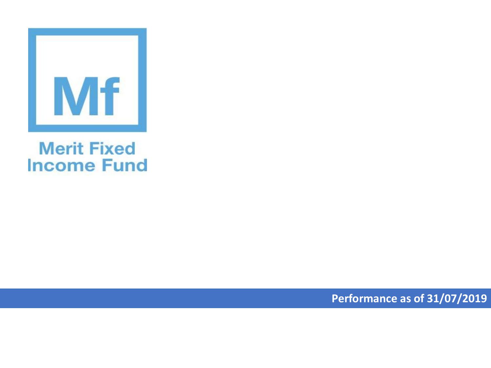

## **Merit Fixed Income Fund**

**Performance as of 31/07/2019**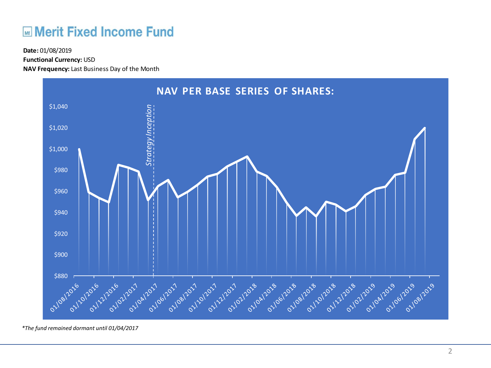## **ME Merit Fixed Income Fund**

**Functional Currency:** USD

**NAV Frequency:** Last Business Day of the Month